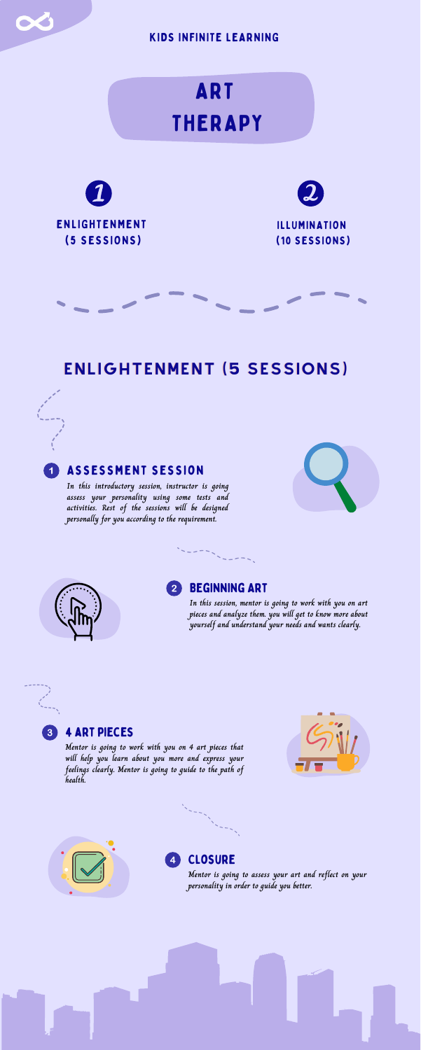### 4 art pieces



### Beginning Art  $2<sup>1</sup>$

**In this introductory session, instructor is going assess your personality using some tests and activities. Rest of the sessions will be designed personally for you according to the requirement.**







**In this session, mentor is going to work with you on art pieces and analyze them. you will get to know more about yourself and understand your needs and wants clearly.**

### $\overline{3}$

 $\overline{\mathbf{1}}$ 



## ENLIGHTENMENT (5 SESSIONS)

**Mentor is going to work with you on 4 art pieces that will help you learn about you more and express your feelings clearly. Mentor is going to guide to the path of health.**





#### **CLOSURE**  $\overline{\mathbf{4}}$



**Mentor is going to assess your art and reflect on your personality in order to guide you better.**